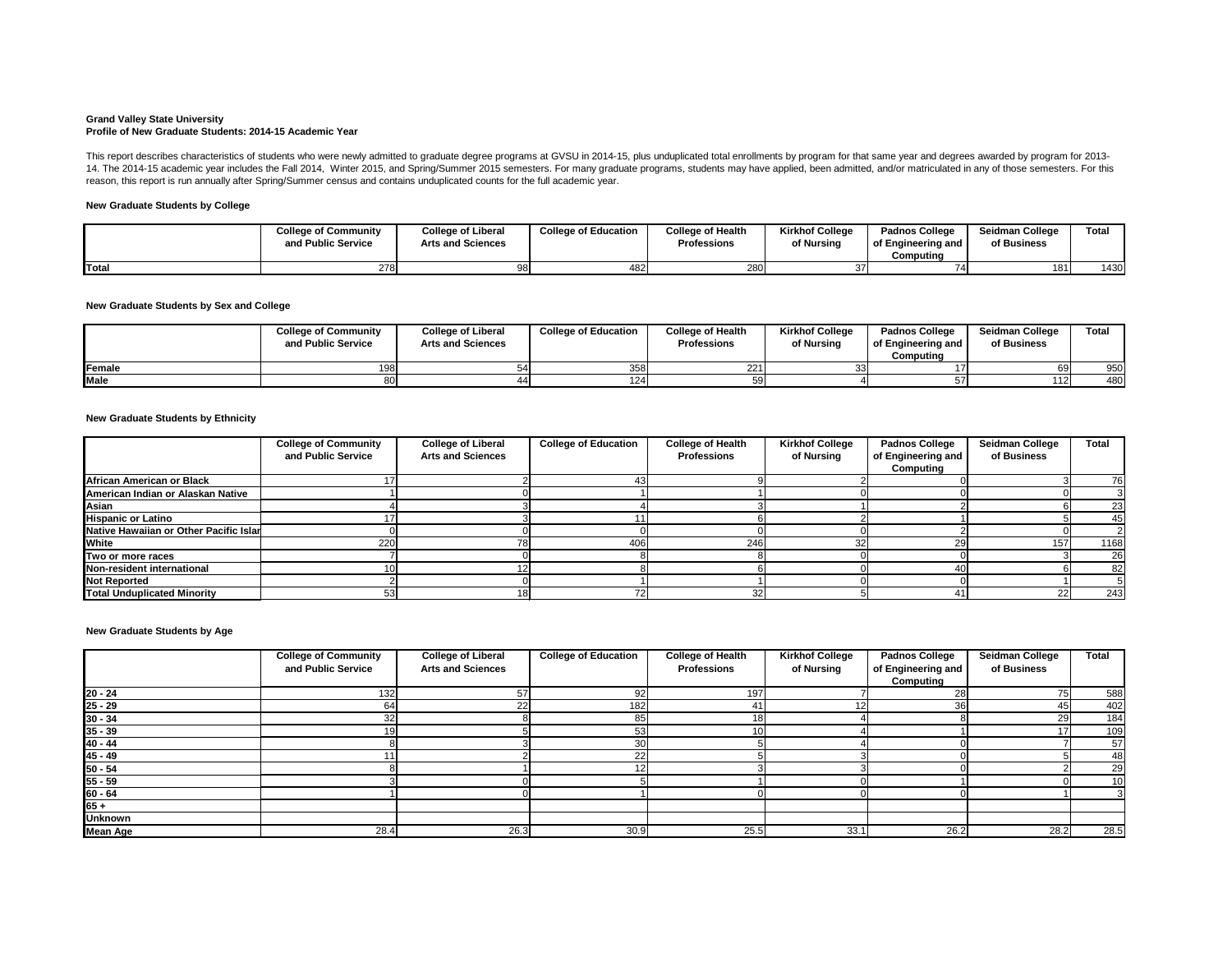#### **Grand Valley State University Profile of New Graduate Students: 2014-15 Academic Year**

## **New Graduate Students by College**

## **New Graduate Students by Sex and College**

#### **New Graduate Students by Ethnicity**

|             | <b>College of Community</b><br>and Public Service | <b>College of Liberal</b><br><b>Arts and Sciences</b> | <b>College of Education</b> | <b>College of Health</b><br><b>Professions</b> | <b>Kirkhof College</b><br>of Nursing | <b>Padnos College</b><br>of Engineering and<br>Computina | <b>Seidman College</b><br>of Business | <b>Total</b> |
|-------------|---------------------------------------------------|-------------------------------------------------------|-----------------------------|------------------------------------------------|--------------------------------------|----------------------------------------------------------|---------------------------------------|--------------|
| Female      |                                                   |                                                       | 358                         | 221                                            |                                      |                                                          | -69I                                  | 950          |
| <b>Male</b> |                                                   |                                                       | 124                         |                                                |                                      |                                                          | 112                                   | 480          |

This report describes characteristics of students who were newly admitted to graduate degree programs at GVSU in 2014-15, plus unduplicated total enrollments by program for that same year and degrees awarded by program for 14. The 2014-15 academic year includes the Fall 2014, Winter 2015, and Spring/Summer 2015 semesters. For many graduate programs, students may have applied, been admitted, and/or matriculated in any of those semesters. For reason, this report is run annually after Spring/Summer census and contains unduplicated counts for the full academic year.

|              | <b>College of Community</b><br>and Public Service | <b>College of Liberal</b><br><b>Arts and Sciences</b> | <b>College of Education</b> | <b>College of Health</b><br><b>Professions</b> | <b>Kirkhof College</b><br>of Nursing | <b>Padnos College</b><br>of Engineering and<br>Computing | <b>Seidman College</b><br>of Business | Total |
|--------------|---------------------------------------------------|-------------------------------------------------------|-----------------------------|------------------------------------------------|--------------------------------------|----------------------------------------------------------|---------------------------------------|-------|
| <b>Total</b> | 278                                               |                                                       | 482                         | 280                                            |                                      |                                                          | 181                                   | 1430  |

**New Graduate Students by Age**

|                                        | <b>College of Community</b><br>and Public Service | <b>College of Liberal</b><br><b>Arts and Sciences</b> | <b>College of Education</b> | <b>College of Health</b><br><b>Professions</b> | <b>Kirkhof College</b><br>of Nursing | <b>Padnos College</b><br>of Engineering and<br>Computing | <b>Seidman College</b><br>of Business | <b>Total</b> |
|----------------------------------------|---------------------------------------------------|-------------------------------------------------------|-----------------------------|------------------------------------------------|--------------------------------------|----------------------------------------------------------|---------------------------------------|--------------|
| African American or Black              |                                                   |                                                       |                             |                                                |                                      |                                                          |                                       | 76           |
| American Indian or Alaskan Native      |                                                   |                                                       |                             |                                                |                                      |                                                          |                                       |              |
| Asian                                  |                                                   |                                                       |                             |                                                |                                      |                                                          |                                       | 23           |
| <b>Hispanic or Latino</b>              |                                                   |                                                       |                             |                                                |                                      |                                                          |                                       | 45           |
| Native Hawaiian or Other Pacific Islan |                                                   |                                                       |                             |                                                |                                      |                                                          |                                       |              |
| <b>White</b>                           | 220                                               |                                                       | 406                         | 246                                            |                                      |                                                          | 157                                   | 1168         |
| Two or more races                      |                                                   |                                                       |                             |                                                |                                      |                                                          |                                       | 26           |
| Non-resident international             |                                                   |                                                       |                             |                                                |                                      |                                                          |                                       | 82           |
| <b>Not Reported</b>                    |                                                   |                                                       |                             |                                                |                                      |                                                          |                                       |              |
| <b>Total Unduplicated Minority</b>     |                                                   |                                                       |                             |                                                |                                      |                                                          | 22                                    | 243          |

|                 | <b>College of Community</b> | <b>College of Liberal</b> | <b>College of Education</b> | <b>College of Health</b> | <b>Kirkhof College</b> | <b>Padnos College</b> | <b>Seidman College</b> | <b>Total</b> |
|-----------------|-----------------------------|---------------------------|-----------------------------|--------------------------|------------------------|-----------------------|------------------------|--------------|
|                 | and Public Service          | <b>Arts and Sciences</b>  |                             | <b>Professions</b>       | of Nursing             | of Engineering and    | of Business            |              |
|                 |                             |                           |                             |                          |                        | Computing             |                        |              |
| $20 - 24$       | 132 <sub>1</sub>            | 57                        | 92                          | 197                      |                        | 28                    | 75                     | 588          |
| $25 - 29$       |                             | 22                        | 182                         | 41                       |                        |                       | 45                     | 402          |
| $30 - 34$       |                             |                           | 85                          | 18                       |                        |                       | 29                     | 184          |
| $35 - 39$       |                             |                           | 53                          | 10                       |                        |                       | <u>171</u>             | 109          |
| $40 - 44$       |                             |                           | 30                          |                          |                        |                       |                        | 57           |
| $45 - 49$       |                             |                           | 22                          |                          |                        |                       |                        | 48           |
| $50 - 54$       |                             |                           |                             |                          |                        |                       |                        | 29           |
| $55 - 59$       |                             |                           |                             |                          |                        |                       |                        | 10           |
| $60 - 64$       |                             |                           |                             |                          |                        |                       |                        |              |
| $65 +$          |                             |                           |                             |                          |                        |                       |                        |              |
| <b>Unknown</b>  |                             |                           |                             |                          |                        |                       |                        |              |
| <b>Mean Age</b> | 28.4                        | 26.3                      | 30.9                        | 25.5                     | 33.1                   | 26.2                  | 28.2                   | 28.5         |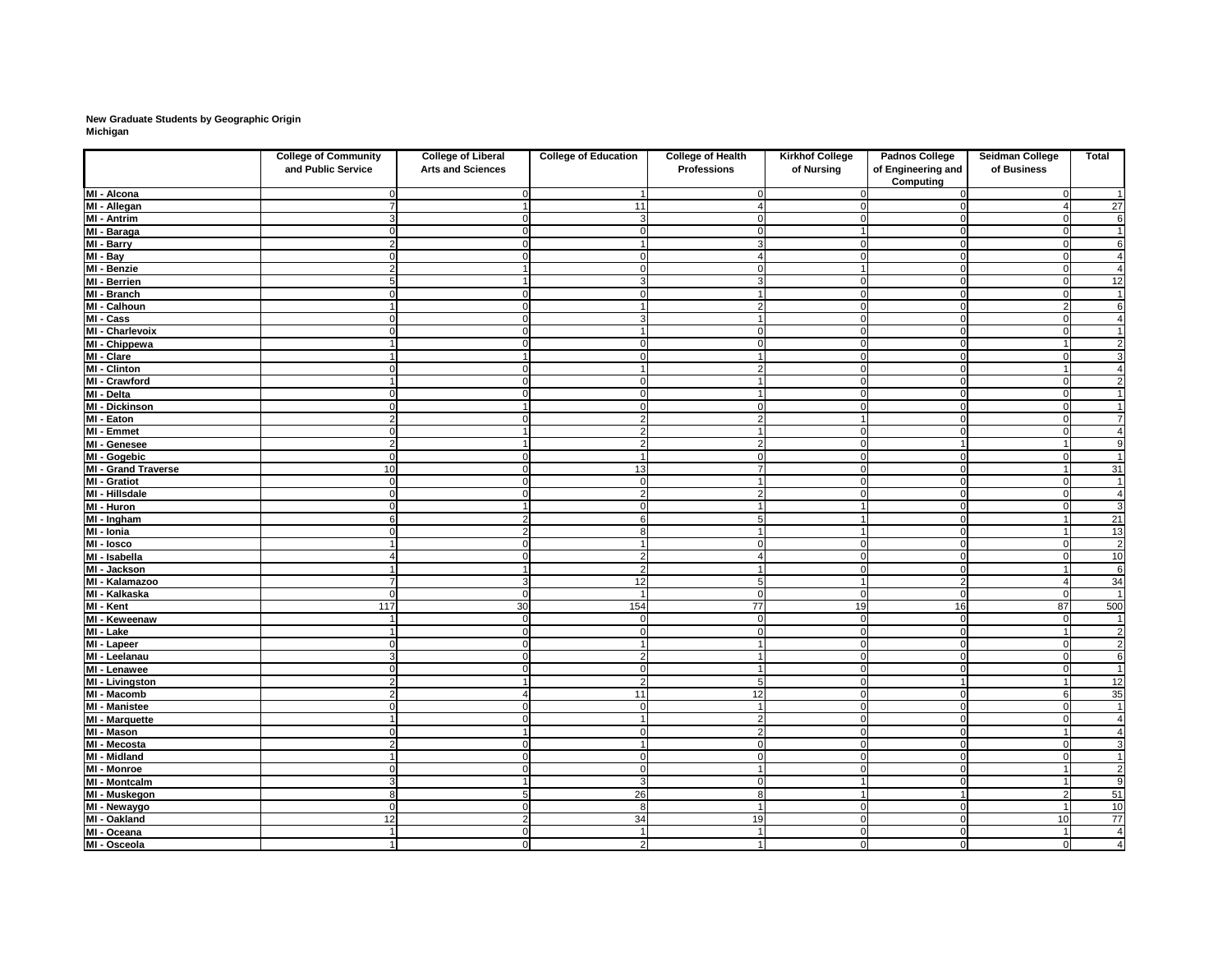# **New Graduate Students by Geographic Origin Michigan**

|                                     | <b>College of Community</b><br>and Public Service | <b>College of Liberal</b><br><b>Arts and Sciences</b> | <b>College of Education</b> | <b>College of Health</b><br><b>Professions</b> | <b>Kirkhof College</b><br>of Nursing | <b>Padnos College</b><br>of Engineering and | Seidman College<br>of Business | <b>Total</b>                              |
|-------------------------------------|---------------------------------------------------|-------------------------------------------------------|-----------------------------|------------------------------------------------|--------------------------------------|---------------------------------------------|--------------------------------|-------------------------------------------|
| MI - Alcona                         |                                                   |                                                       |                             |                                                |                                      | <b>Computing</b>                            |                                | $\mathbf 1$                               |
| MI - Allegan                        |                                                   |                                                       | 11                          |                                                |                                      |                                             |                                | $\overline{27}$                           |
| <b>MI - Antrim</b>                  |                                                   |                                                       | $\mathbf{3}$                |                                                | 0                                    |                                             | - 0                            | $\overline{6}$                            |
| MI - Baraga                         |                                                   |                                                       | $\overline{0}$              |                                                |                                      | $\Omega$                                    | $\Omega$                       | $\mathbf 1$                               |
| MI - Barry                          | $\overline{2}$                                    |                                                       | $\overline{\mathbf{1}}$     | 3                                              | $\overline{0}$                       | $\Omega$                                    | $\Omega$                       | $\overline{6}$                            |
| $M - Bay$                           |                                                   |                                                       | $\mathbf 0$                 |                                                | $\overline{0}$                       |                                             | $\Omega$                       | 4                                         |
| MI - Benzie                         | 2                                                 |                                                       | $\Omega$                    |                                                |                                      | 0                                           | -0                             | $\overline{4}$                            |
| MI - Berrien                        |                                                   |                                                       | $\mathbf{3}$                | 3                                              | $\overline{0}$                       | $\Omega$                                    | $\Omega$                       | 12                                        |
| MI - Branch                         |                                                   |                                                       | $\Omega$                    |                                                | $\mathbf 0$                          |                                             |                                | $\mathbf{1}$                              |
| MI - Calhoun                        |                                                   |                                                       | -1                          |                                                | $\overline{0}$                       |                                             |                                | $\overline{6}$                            |
| MI - Cass                           |                                                   |                                                       | $\mathbf{3}$                |                                                | $\overline{0}$                       | ∩                                           | $\Omega$                       | $\overline{4}$                            |
| MI - Charlevoix                     |                                                   |                                                       | $\overline{\mathbf{A}}$     |                                                | $\overline{0}$                       | $\bigcap$                                   | $\Omega$                       | $\mathbf{1}$                              |
| MI - Chippewa                       |                                                   |                                                       | $\Omega$                    |                                                | $\mathbf 0$                          |                                             |                                | $\overline{2}$                            |
| MI - Clare                          |                                                   |                                                       | $\Omega$                    |                                                | $\mathbf 0$                          |                                             |                                | $\overline{3}$                            |
| <b>MI - Clinton</b>                 |                                                   |                                                       |                             |                                                | $\mathbf 0$                          |                                             |                                | 4                                         |
| MI - Crawford                       |                                                   |                                                       | 0                           |                                                | $\mathbf 0$                          |                                             | - 0                            | $\overline{2}$                            |
| $\overline{M}$ l - Delta            |                                                   |                                                       | $\Omega$                    |                                                | $\overline{0}$                       |                                             |                                | $\mathbf{1}$                              |
| <b>MI - Dickinson</b>               |                                                   |                                                       | $\Omega$                    |                                                | $\Omega$                             |                                             |                                | $\mathbf 1$                               |
| MI - Eaton                          | າ                                                 |                                                       | $\overline{2}$              |                                                |                                      |                                             | $\Omega$                       | $\overline{7}$                            |
| <b>MI - Emmet</b>                   |                                                   |                                                       | $\overline{2}$              |                                                | $\mathbf 0$                          |                                             | $\cap$                         | $\overline{4}$                            |
| MI - Genesee                        | 2                                                 |                                                       | $\overline{2}$              |                                                | $\mathbf 0$                          |                                             |                                | 9                                         |
| MI - Gogebic                        |                                                   |                                                       |                             |                                                | $\overline{0}$                       |                                             |                                | $\mathbf 1$                               |
| <b>MI - Grand Traverse</b>          | 10                                                |                                                       | 13                          |                                                | $\mathbf 0$                          |                                             |                                | $\overline{31}$                           |
| <b>MI - Gratiot</b>                 |                                                   |                                                       | $\mathbf 0$                 |                                                | $\overline{0}$                       |                                             | $\Omega$                       | $\mathbf{1}$                              |
| <b>MI - Hillsdale</b>               |                                                   |                                                       | $\overline{2}$              |                                                | $\overline{0}$                       |                                             |                                | $\overline{4}$                            |
| MI - Huron                          |                                                   |                                                       | $\Omega$                    |                                                |                                      |                                             |                                | $\overline{3}$                            |
| MI - Ingham                         |                                                   |                                                       | 6                           |                                                |                                      |                                             |                                | $\overline{21}$                           |
| MI - Ionia                          |                                                   |                                                       | 8                           |                                                |                                      |                                             |                                | $\overline{13}$                           |
| MI - losco                          |                                                   |                                                       |                             |                                                | 0                                    |                                             |                                | $\overline{c}$                            |
| MI - Isabella                       |                                                   |                                                       | $\overline{2}$              |                                                | $\Omega$                             |                                             |                                | 10                                        |
| MI - Jackson                        |                                                   |                                                       | $\overline{2}$              |                                                | $\Omega$                             |                                             |                                | 6                                         |
| MI - Kalamazoo                      |                                                   |                                                       | 12                          |                                                |                                      |                                             |                                | $\overline{34}$                           |
| MI - Kalkaska                       | $\Omega$                                          | $\Omega$                                              |                             | $\Omega$                                       | 0                                    | $\mathbf 0$                                 | $\Omega$                       | $\overline{1}$                            |
| MI - Kent                           | 117                                               | 30                                                    | 154                         | 77                                             | 19                                   | 16                                          | 87                             | 500                                       |
| MI - Keweenaw                       |                                                   | ∩                                                     | $\boldsymbol{0}$            | $\Omega$                                       | $\mathbf 0$                          | $\Omega$                                    | $\Omega$                       | $\mathbf{1}$                              |
| MI - Lake                           |                                                   |                                                       | $\mathbf 0$                 | $\Omega$                                       | $\overline{0}$                       | $\Omega$                                    |                                | $\overline{c}$                            |
| MI - Lapeer                         | ∩                                                 |                                                       | $\overline{\mathbf{1}}$     |                                                | $\overline{0}$                       | C                                           | $\Omega$                       | $\overline{2}$                            |
| MI - Leelanau                       | 3 <sup>1</sup>                                    |                                                       | $\mathbf{2}$                |                                                | $\mathbf 0$                          |                                             | $\Omega$                       | $\overline{6}$                            |
| MI - Lenawee                        | 0                                                 |                                                       | $\mathbf 0$                 |                                                | $\overline{0}$                       |                                             |                                |                                           |
| MI - Livingston                     | $\overline{2}$                                    |                                                       | $\overline{2}$              | 5                                              | $\overline{0}$                       |                                             |                                | 12                                        |
| $\overline{M}$ l - Macomb           | $\overline{2}$                                    |                                                       | 11                          | 12                                             | $\overline{0}$                       |                                             | -6                             | 35                                        |
| <b>MI - Manistee</b>                |                                                   |                                                       | $\mathbf 0$                 |                                                | $\overline{0}$                       |                                             |                                | $\overline{1}$                            |
| MI - Marquette                      |                                                   |                                                       | $\overline{\mathbf{1}}$     | $\overline{2}$                                 | $\overline{0}$                       | $\Omega$                                    | - 0                            | $\overline{\mathbf{A}}$                   |
| MI - Mason                          | ∩                                                 |                                                       | $\Omega$                    | $\overline{2}$                                 | $\overline{0}$                       | $\Omega$                                    |                                |                                           |
| MI - Mecosta                        |                                                   | ∩                                                     | $\overline{1}$              | $\Omega$                                       |                                      | $\mathbf 0$                                 |                                | 3                                         |
| MI - Midland                        | 2<br>11                                           | $\Omega$                                              | $\overline{0}$              | $\Omega$                                       | 0 <br> 0                             | 0                                           | $\mathbf 0$<br>$\mathbf 0$     | $\mathbf 1$                               |
|                                     | $\Omega$                                          | $\Omega$                                              |                             |                                                |                                      | $\Omega$                                    |                                | $\overline{2}$                            |
| MI - Monroe<br><b>MI - Montcalm</b> |                                                   |                                                       | $\overline{0}$              | $\Omega$                                       | 0                                    |                                             |                                | $\overline{9}$                            |
|                                     | 3 <sup>l</sup>                                    |                                                       | $\mathbf{3}$                |                                                |                                      | $\Omega$                                    |                                |                                           |
| MI - Muskegon                       | 8 <sup>1</sup><br>$\overline{0}$                  | $\Omega$                                              | 26<br>8                     | 8                                              |                                      |                                             | 2                              | 51<br>10                                  |
| MI - Newaygo                        |                                                   | ົ                                                     | 34                          |                                                | $\overline{0}$                       | 0                                           |                                |                                           |
| <b>MI - Oakland</b><br>MI - Oceana  | 12<br>$\mathbf{1}$                                | $\Omega$                                              | $\overline{1}$              | 19                                             | $\overline{0}$                       | $\overline{0}$<br>$\Omega$                  | 10<br>$\overline{\mathbf{1}}$  | 77                                        |
|                                     | 11                                                | $\overline{0}$                                        |                             |                                                | $\overline{0}$                       |                                             |                                | $\overline{4}$<br>$\overline{\mathbf{A}}$ |
| MI - Osceola                        |                                                   |                                                       | $\mathbf{2}$                |                                                | 0                                    | $\overline{0}$                              | $\mathbf 0$                    |                                           |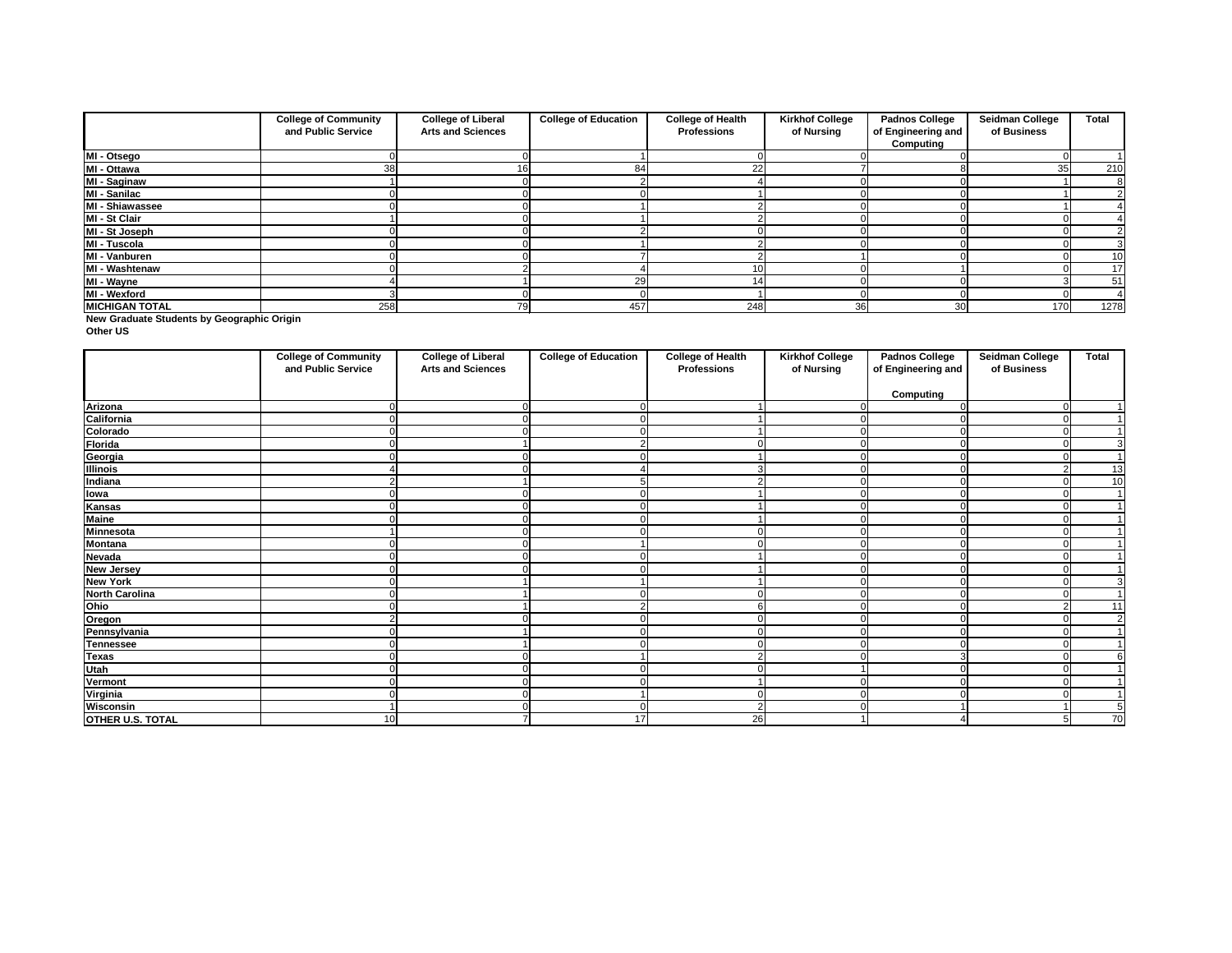**New Graduate Students by Geographic Origin**

**Other US**

|                       | <b>College of Community</b> | <b>College of Liberal</b> | <b>College of Education</b> | <b>College of Health</b> | <b>Kirkhof College</b> | <b>Padnos College</b> | <b>Seidman College</b> | <b>Total</b> |
|-----------------------|-----------------------------|---------------------------|-----------------------------|--------------------------|------------------------|-----------------------|------------------------|--------------|
|                       | and Public Service          | <b>Arts and Sciences</b>  |                             | <b>Professions</b>       | of Nursing             | of Engineering and    | of Business            |              |
|                       |                             |                           |                             |                          |                        | Computing             |                        |              |
| MI - Otsego           |                             |                           |                             |                          |                        |                       |                        |              |
| MI - Ottawa           | 38                          | 16                        | 84                          | 22                       |                        |                       | 35                     | 210          |
| MI - Saginaw          |                             |                           |                             |                          |                        |                       |                        |              |
| MI - Sanilac          |                             |                           |                             |                          |                        |                       |                        |              |
| MI - Shiawassee       |                             |                           |                             |                          |                        |                       |                        |              |
| MI - St Clair         |                             |                           |                             |                          |                        |                       |                        |              |
| MI - St Joseph        |                             |                           |                             |                          |                        |                       |                        |              |
| MI - Tuscola          |                             |                           |                             |                          |                        |                       |                        |              |
| MI - Vanburen         |                             |                           |                             |                          |                        |                       |                        | 10           |
| MI - Washtenaw        |                             |                           |                             |                          |                        |                       |                        | 17           |
| MI - Wayne            |                             |                           | 29                          |                          |                        |                       |                        | 51           |
| MI - Wexford          |                             |                           |                             |                          |                        |                       |                        |              |
| <b>MICHIGAN TOTAL</b> | 258                         | 79                        | 457                         | 248                      | 36                     | 30 <sup>l</sup>       | 170                    | 1278         |

|                         | <b>College of Community</b><br>and Public Service | <b>College of Liberal</b><br><b>Arts and Sciences</b> | <b>College of Education</b> | <b>College of Health</b><br><b>Professions</b> | <b>Kirkhof College</b><br>of Nursing | <b>Padnos College</b><br>of Engineering and | <b>Seidman College</b><br>of Business | <b>Total</b>   |
|-------------------------|---------------------------------------------------|-------------------------------------------------------|-----------------------------|------------------------------------------------|--------------------------------------|---------------------------------------------|---------------------------------------|----------------|
|                         |                                                   |                                                       |                             |                                                |                                      | <b>Computing</b>                            |                                       |                |
| Arizona                 |                                                   |                                                       |                             |                                                |                                      |                                             |                                       |                |
| California              | 0                                                 |                                                       | $\Omega$                    |                                                |                                      |                                             |                                       |                |
| Colorado                | 0                                                 |                                                       | $\Omega$                    |                                                |                                      |                                             |                                       |                |
| <b>Florida</b>          | $\Omega$                                          |                                                       | 2                           | $\Omega$                                       | ∩                                    |                                             | $\Omega$                              | 3              |
| Georgia<br>Illinois     | 0                                                 |                                                       | ∩                           |                                                |                                      |                                             |                                       | $\overline{ }$ |
|                         |                                                   |                                                       |                             | 3                                              |                                      |                                             |                                       | 13             |
| Indiana                 | 2                                                 |                                                       |                             |                                                |                                      |                                             |                                       | 10             |
| <b>Towa<br/>Kansas</b>  |                                                   |                                                       | 0                           |                                                | $\Omega$                             |                                             |                                       |                |
|                         |                                                   |                                                       |                             |                                                |                                      |                                             |                                       |                |
| Maine<br>Minnesota      |                                                   |                                                       |                             |                                                |                                      |                                             |                                       |                |
|                         |                                                   |                                                       |                             |                                                |                                      |                                             |                                       |                |
| <b>Montana</b>          | U                                                 |                                                       |                             | ∩                                              | ∩                                    |                                             |                                       |                |
| <b>Nevada</b>           |                                                   |                                                       |                             |                                                |                                      |                                             |                                       |                |
| <b>New Jersey</b>       |                                                   |                                                       |                             |                                                |                                      |                                             |                                       |                |
| <b>New York</b>         | 0                                                 |                                                       |                             |                                                |                                      |                                             |                                       | 3              |
| <b>North Carolina</b>   |                                                   |                                                       |                             |                                                |                                      |                                             |                                       |                |
| Ohio                    |                                                   |                                                       | ⌒                           | 6                                              |                                      |                                             |                                       | 11             |
| Oregon                  | າ                                                 |                                                       |                             | $\Omega$                                       |                                      |                                             |                                       | $\overline{2}$ |
| Pennsylvania            |                                                   |                                                       | ∩                           |                                                |                                      |                                             |                                       |                |
| <b>Tennessee</b>        |                                                   |                                                       |                             |                                                |                                      |                                             |                                       |                |
| Texas<br>Utah           |                                                   |                                                       |                             | റ                                              |                                      |                                             |                                       |                |
|                         |                                                   |                                                       |                             |                                                |                                      |                                             |                                       |                |
| <b>Vermont</b>          |                                                   |                                                       |                             |                                                |                                      |                                             |                                       |                |
| Virginia                |                                                   |                                                       |                             |                                                |                                      |                                             |                                       |                |
| <b>Wisconsin</b>        |                                                   |                                                       | $\Omega$                    | $\overline{2}$                                 |                                      |                                             |                                       | 5              |
| <b>OTHER U.S. TOTAL</b> | 10                                                |                                                       | 17                          | 26                                             |                                      |                                             |                                       | 70             |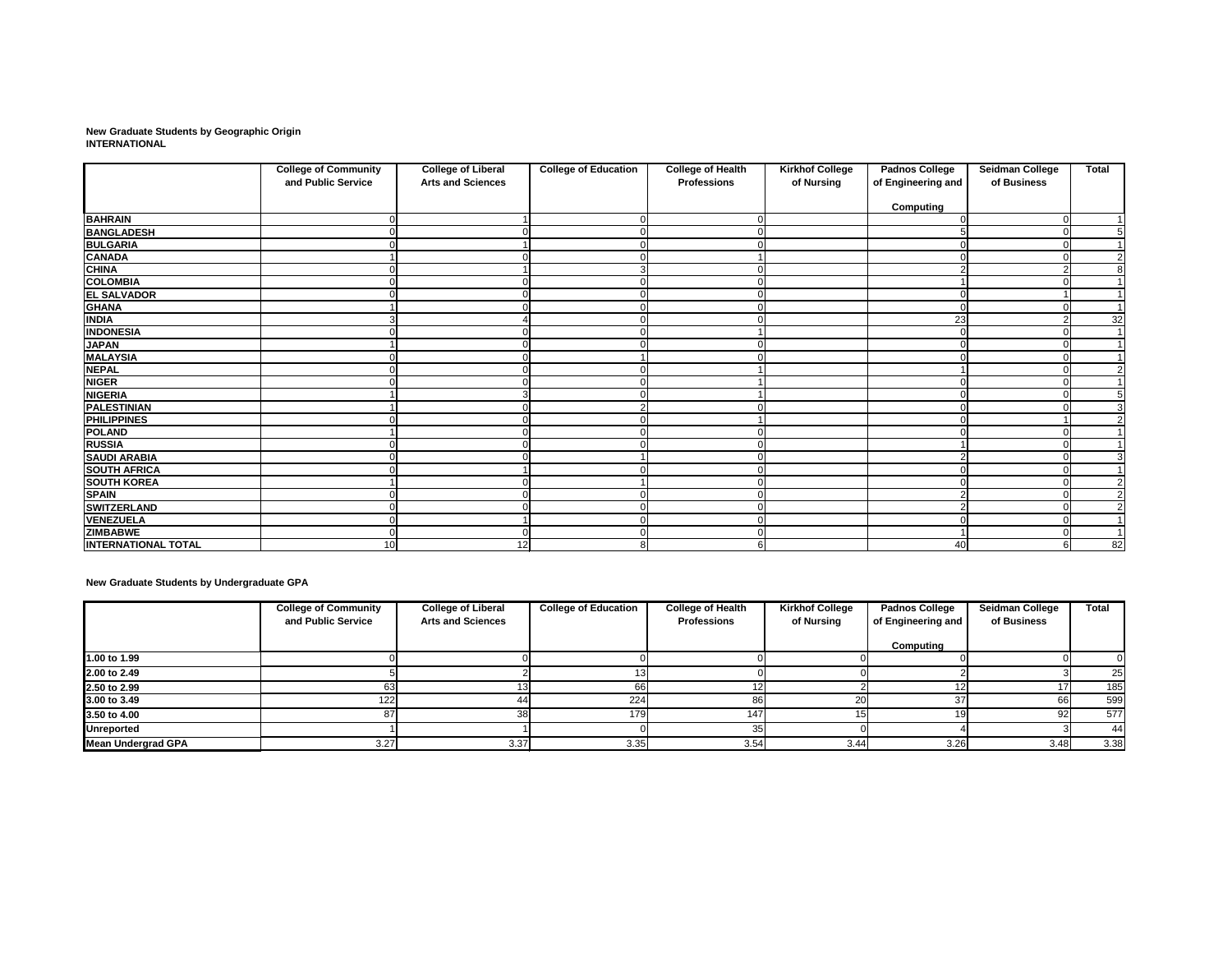**New Graduate Students by Geographic Origin INTERNATIONAL**

|                            | <b>College of Community</b> | <b>College of Liberal</b> | <b>College of Education</b> | <b>College of Health</b> | <b>Kirkhof College</b> | <b>Padnos College</b> | <b>Seidman College</b> | <b>Total</b>    |
|----------------------------|-----------------------------|---------------------------|-----------------------------|--------------------------|------------------------|-----------------------|------------------------|-----------------|
|                            | and Public Service          | <b>Arts and Sciences</b>  |                             | <b>Professions</b>       | of Nursing             | of Engineering and    | of Business            |                 |
|                            |                             |                           |                             |                          |                        | <b>Computing</b>      |                        |                 |
| <b>BAHRAIN</b>             |                             |                           |                             |                          |                        |                       | $\Omega$               |                 |
| <b>BANGLADESH</b>          |                             |                           |                             |                          |                        |                       |                        | 5               |
| <b>BULGARIA</b>            |                             |                           |                             |                          |                        |                       |                        |                 |
| <b>CANADA</b>              |                             |                           |                             |                          |                        |                       |                        | $\overline{2}$  |
| <b>CHINA</b>               |                             |                           | 3                           |                          |                        |                       |                        | 8               |
| <b>COLOMBIA</b>            |                             |                           |                             |                          |                        |                       |                        |                 |
| <b>EL SALVADOR</b>         |                             |                           | ∩                           |                          |                        |                       |                        |                 |
| <b>GHANA</b>               |                             |                           |                             |                          |                        |                       |                        |                 |
| <b>INDIA</b>               |                             |                           |                             |                          |                        | 23                    |                        | $\overline{32}$ |
| <b>INDONESIA</b>           |                             |                           |                             |                          |                        |                       |                        |                 |
| <b>JAPAN</b>               |                             |                           |                             |                          |                        |                       |                        | 1               |
| <b>MALAYSIA</b>            |                             |                           |                             |                          |                        |                       |                        |                 |
| <b>NEPAL</b>               |                             |                           |                             |                          |                        |                       |                        | $\overline{2}$  |
| <b>NIGER</b>               |                             |                           |                             |                          |                        |                       |                        |                 |
| <b>NIGERIA</b>             |                             |                           |                             |                          |                        |                       |                        | 5               |
| <b>PALESTINIAN</b>         |                             |                           | 2                           |                          |                        |                       |                        | $\overline{3}$  |
| <b>PHILIPPINES</b>         |                             |                           |                             |                          |                        |                       |                        | $\overline{2}$  |
| <b>POLAND</b>              |                             |                           |                             |                          |                        |                       |                        |                 |
| <b>RUSSIA</b>              |                             |                           |                             |                          |                        |                       |                        |                 |
| <b>SAUDI ARABIA</b>        |                             |                           |                             |                          |                        |                       |                        | 3               |
| <b>SOUTH AFRICA</b>        |                             |                           |                             |                          |                        |                       |                        |                 |
| <b>SOUTH KOREA</b>         |                             |                           |                             |                          |                        |                       |                        | $\overline{2}$  |
| <b>SPAIN</b>               |                             |                           |                             |                          |                        |                       |                        | $\overline{2}$  |
| <b>SWITZERLAND</b>         |                             |                           |                             |                          |                        |                       |                        | $\overline{2}$  |
| <b>VENEZUELA</b>           |                             |                           |                             |                          |                        |                       |                        |                 |
| <b>ZIMBABWE</b>            |                             |                           |                             |                          |                        |                       |                        |                 |
| <b>INTERNATIONAL TOTAL</b> | 10                          | 12                        | 8                           |                          |                        | 40                    | 6                      | $\overline{82}$ |

**New Graduate Students by Undergraduate GPA**

|                           | <b>College of Community</b> | <b>College of Liberal</b> | <b>College of Education</b> | <b>College of Health</b> | <b>Kirkhof College</b> | <b>Padnos College</b> | <b>Seidman College</b> | <b>Total</b> |
|---------------------------|-----------------------------|---------------------------|-----------------------------|--------------------------|------------------------|-----------------------|------------------------|--------------|
|                           | and Public Service          | <b>Arts and Sciences</b>  |                             | <b>Professions</b>       | of Nursing             | of Engineering and    | of Business            |              |
|                           |                             |                           |                             |                          |                        | Computing             |                        |              |
| 1.00 to 1.99              |                             |                           |                             |                          |                        |                       |                        |              |
| 2.00 to 2.49              |                             |                           |                             |                          |                        |                       |                        | 25           |
| 2.50 to 2.99              |                             |                           |                             |                          |                        |                       |                        | 185          |
| 3.00 to 3.49              | 122                         |                           | 224                         | 86                       | 20                     |                       | <b>66</b>              | 599          |
| 3.50 to 4.00              |                             | 38                        | 179                         | 147                      |                        |                       | 92                     | 577          |
| <b>Unreported</b>         |                             |                           |                             | 35                       |                        |                       |                        | 44           |
| <b>Mean Undergrad GPA</b> | 3.27                        | 3.37                      | 3.35                        | 3.54                     | 3.44                   | 3.26                  | 3.48                   | 3.38         |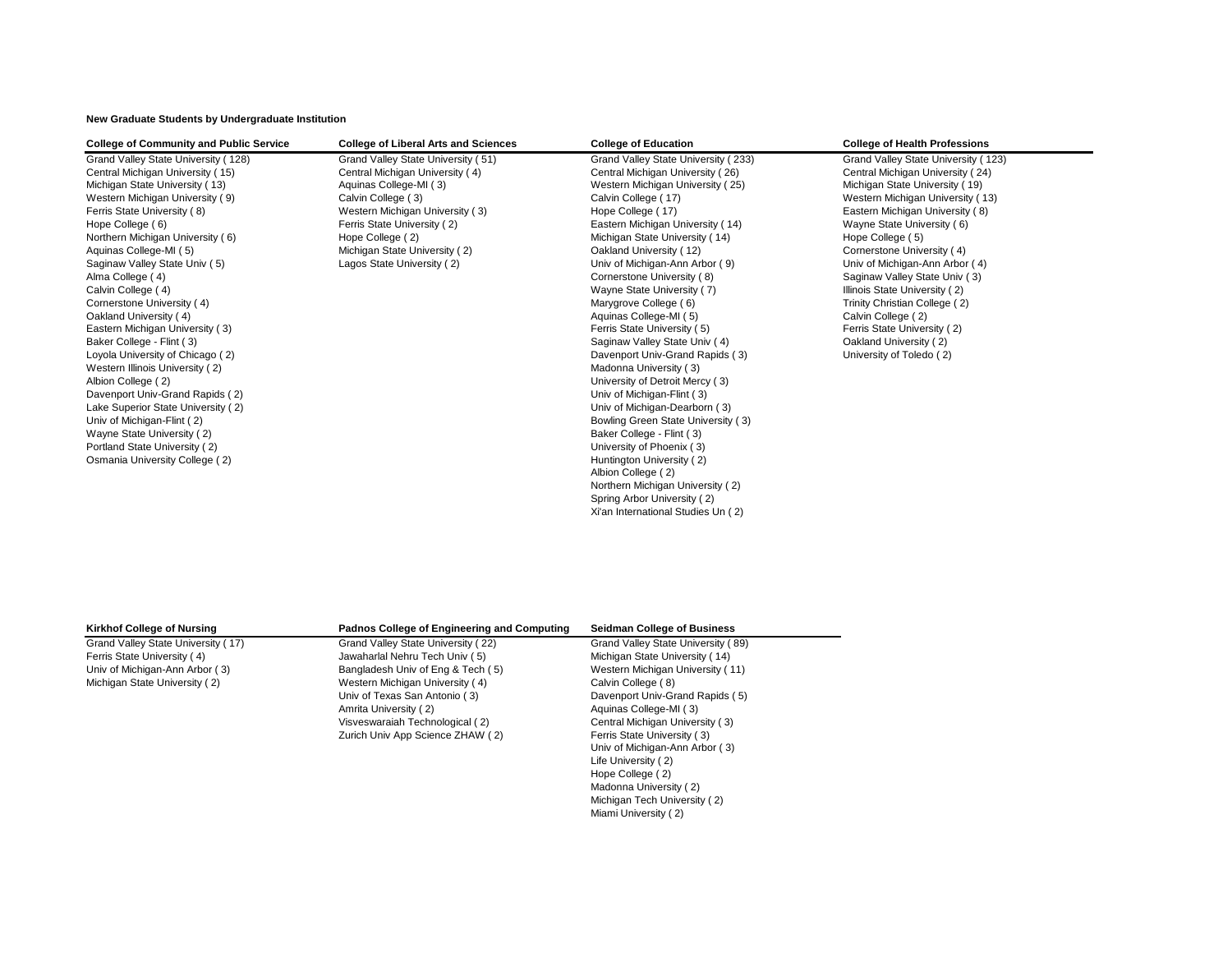**New Graduate Students by Undergraduate Institution**

| <b>College of Community and Public Service</b> | <b>College of Liberal Arts and Sciences</b> | <b>College of Education</b>         | <b>College of Health Professions</b> |
|------------------------------------------------|---------------------------------------------|-------------------------------------|--------------------------------------|
| Grand Valley State University (128)            | Grand Valley State University (51)          | Grand Valley State University (233) | Grand Valley State University (123)  |
| Central Michigan University (15)               | Central Michigan University (4)             | Central Michigan University (26)    | Central Michigan University (24)     |
| Michigan State University (13)                 | Aquinas College-MI (3)                      | Western Michigan University (25)    | Michigan State University (19)       |
| Western Michigan University (9)                | Calvin College (3)                          | Calvin College (17)                 | Western Michigan University (13)     |
| Ferris State University (8)                    | Western Michigan University (3)             | Hope College (17)                   | Eastern Michigan University (8)      |
| Hope College (6)                               | Ferris State University (2)                 | Eastern Michigan University (14)    | Wayne State University (6)           |
| Northern Michigan University (6)               | Hope College (2)                            | Michigan State University (14)      | Hope College (5)                     |
| Aquinas College-MI (5)                         | Michigan State University (2)               | Oakland University (12)             | Cornerstone University (4)           |
| Saginaw Valley State Univ (5)                  | Lagos State University (2)                  | Univ of Michigan-Ann Arbor (9)      | Univ of Michigan-Ann Arbor (4)       |
| Alma College (4)                               |                                             | Cornerstone University (8)          | Saginaw Valley State Univ (3)        |
| Calvin College (4)                             |                                             | Wayne State University (7)          | Illinois State University (2)        |
| Cornerstone University (4)                     |                                             | Marygrove College (6)               | Trinity Christian College (2)        |
| Oakland University (4)                         |                                             | Aquinas College-MI (5)              | Calvin College (2)                   |
| Eastern Michigan University (3)                |                                             | Ferris State University (5)         | Ferris State University (2)          |
| Baker College - Flint (3)                      |                                             | Saginaw Valley State Univ (4)       | Oakland University (2)               |
| Loyola University of Chicago (2)               |                                             | Davenport Univ-Grand Rapids (3)     | University of Toledo (2)             |
| Western Illinois University (2)                |                                             | Madonna University (3)              |                                      |
| Albion College (2)                             |                                             | University of Detroit Mercy (3)     |                                      |
| Davenport Univ-Grand Rapids (2)                |                                             | Univ of Michigan-Flint (3)          |                                      |
| Lake Superior State University (2)             |                                             | Univ of Michigan-Dearborn (3)       |                                      |
| Univ of Michigan-Flint (2)                     |                                             | Bowling Green State University (3)  |                                      |
| Wayne State University (2)                     |                                             | Baker College - Flint (3)           |                                      |
| Portland State University (2)                  |                                             | University of Phoenix (3)           |                                      |
| Osmania University College (2)                 |                                             | Huntington University (2)           |                                      |
|                                                |                                             | Albion College (2)                  |                                      |
|                                                |                                             | Northern Michigan University (2)    |                                      |
|                                                |                                             | Spring Arbor University (2)         |                                      |
|                                                |                                             | Xi'an International Studies Un (2)  |                                      |

| <b>Kirkhof College of Nursing</b>  | <b>Padnos College of Engineering and Computing</b> | <b>Seidman College of Business</b> |
|------------------------------------|----------------------------------------------------|------------------------------------|
| Grand Valley State University (17) | Grand Valley State University (22)                 | Grand Valley State University (89) |
| Ferris State University (4)        | Jawaharlal Nehru Tech Univ (5)                     | Michigan State University (14)     |
| Univ of Michigan-Ann Arbor (3)     | Bangladesh Univ of Eng & Tech (5)                  | Western Michigan University (11)   |
| Michigan State University (2)      | Western Michigan University (4)                    | Calvin College (8)                 |
|                                    | Univ of Texas San Antonio (3)                      | Davenport Univ-Grand Rapids (5)    |
|                                    | Amrita University (2)                              | Aquinas College-MI (3)             |
|                                    | Visveswaraiah Technological (2)                    | Central Michigan University (3)    |
|                                    | Zurich Univ App Science ZHAW (2)                   | Ferris State University (3)        |
|                                    |                                                    | Univ of Michigan-Ann Arbor (3)     |
|                                    |                                                    | Life University (2)                |
|                                    |                                                    | Hope College (2)                   |
|                                    |                                                    | Madonna University (2)             |
|                                    |                                                    | Michigan Tech University (2)       |
|                                    |                                                    | Miami University (2)               |